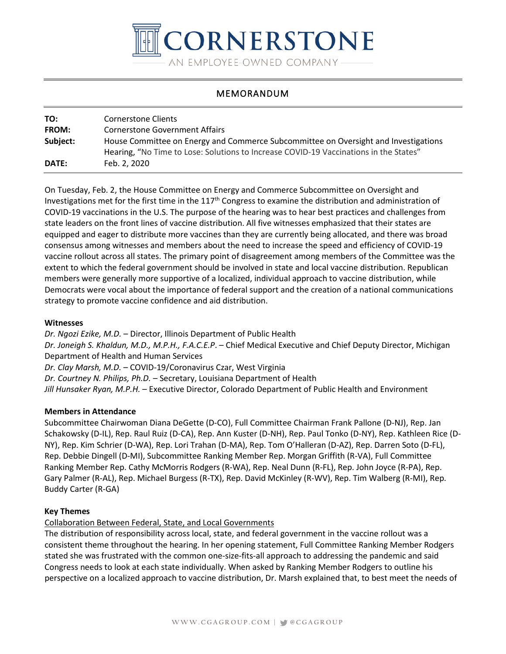

# MEMORANDUM

| TO:          | Cornerstone Clients                                                                   |
|--------------|---------------------------------------------------------------------------------------|
| <b>FROM:</b> | <b>Cornerstone Government Affairs</b>                                                 |
| Subject:     | House Committee on Energy and Commerce Subcommittee on Oversight and Investigations   |
|              | Hearing, "No Time to Lose: Solutions to Increase COVID-19 Vaccinations in the States" |
| <b>DATE:</b> | Feb. 2, 2020                                                                          |

On Tuesday, Feb. 2, the House Committee on Energy and Commerce Subcommittee on Oversight and Investigations met for the first time in the  $117<sup>th</sup>$  Congress to examine the distribution and administration of COVID-19 vaccinations in the U.S. The purpose of the hearing was to hear best practices and challenges from state leaders on the front lines of vaccine distribution. All five witnesses emphasized that their states are equipped and eager to distribute more vaccines than they are currently being allocated, and there was broad consensus among witnesses and members about the need to increase the speed and efficiency of COVID-19 vaccine rollout across all states. The primary point of disagreement among members of the Committee was the extent to which the federal government should be involved in state and local vaccine distribution. Republican members were generally more supportive of a localized, individual approach to vaccine distribution, while Democrats were vocal about the importance of federal support and the creation of a national communications strategy to promote vaccine confidence and aid distribution.

### **Witnesses**

*Dr. Ngozi Ezike, M.D.* – Director, Illinois Department of Public Health

*Dr. Joneigh S. Khaldun, M.D., M.P.H., F.A.C.E.P*. – Chief Medical Executive and Chief Deputy Director, Michigan Department of Health and Human Services

*Dr. Clay Marsh, M.D.* – COVID-19/Coronavirus Czar, West Virginia

*Dr. Courtney N. Philips, Ph.D.* – Secretary, Louisiana Department of Health

*Jill Hunsaker Ryan, M.P.H.* – Executive Director, Colorado Department of Public Health and Environment

### **Members in Attendance**

Subcommittee Chairwoman Diana DeGette (D-CO), Full Committee Chairman Frank Pallone (D-NJ), Rep. Jan Schakowsky (D-IL), Rep. Raul Ruiz (D-CA), Rep. Ann Kuster (D-NH), Rep. Paul Tonko (D-NY), Rep. Kathleen Rice (D-NY), Rep. Kim Schrier (D-WA), Rep. Lori Trahan (D-MA), Rep. Tom O'Halleran (D-AZ), Rep. Darren Soto (D-FL), Rep. Debbie Dingell (D-MI), Subcommittee Ranking Member Rep. Morgan Griffith (R-VA), Full Committee Ranking Member Rep. Cathy McMorris Rodgers (R-WA), Rep. Neal Dunn (R-FL), Rep. John Joyce (R-PA), Rep. Gary Palmer (R-AL), Rep. Michael Burgess (R-TX), Rep. David McKinley (R-WV), Rep. Tim Walberg (R-MI), Rep. Buddy Carter (R-GA)

### **Key Themes**

Collaboration Between Federal, State, and Local Governments

The distribution of responsibility across local, state, and federal government in the vaccine rollout was a consistent theme throughout the hearing. In her opening statement, Full Committee Ranking Member Rodgers stated she was frustrated with the common one-size-fits-all approach to addressing the pandemic and said Congress needs to look at each state individually. When asked by Ranking Member Rodgers to outline his perspective on a localized approach to vaccine distribution, Dr. Marsh explained that, to best meet the needs of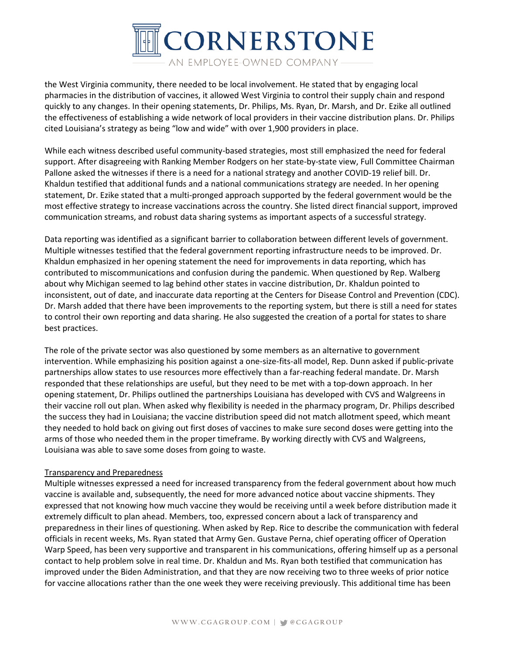

the West Virginia community, there needed to be local involvement. He stated that by engaging local pharmacies in the distribution of vaccines, it allowed West Virginia to control their supply chain and respond quickly to any changes. In their opening statements, Dr. Philips, Ms. Ryan, Dr. Marsh, and Dr. Ezike all outlined the effectiveness of establishing a wide network of local providers in their vaccine distribution plans. Dr. Philips cited Louisiana's strategy as being "low and wide" with over 1,900 providers in place.

While each witness described useful community-based strategies, most still emphasized the need for federal support. After disagreeing with Ranking Member Rodgers on her state-by-state view, Full Committee Chairman Pallone asked the witnesses if there is a need for a national strategy and another COVID-19 relief bill. Dr. Khaldun testified that additional funds and a national communications strategy are needed. In her opening statement, Dr. Ezike stated that a multi-pronged approach supported by the federal government would be the most effective strategy to increase vaccinations across the country. She listed direct financial support, improved communication streams, and robust data sharing systems as important aspects of a successful strategy.

Data reporting was identified as a significant barrier to collaboration between different levels of government. Multiple witnesses testified that the federal government reporting infrastructure needs to be improved. Dr. Khaldun emphasized in her opening statement the need for improvements in data reporting, which has contributed to miscommunications and confusion during the pandemic. When questioned by Rep. Walberg about why Michigan seemed to lag behind other states in vaccine distribution, Dr. Khaldun pointed to inconsistent, out of date, and inaccurate data reporting at the Centers for Disease Control and Prevention (CDC). Dr. Marsh added that there have been improvements to the reporting system, but there is still a need for states to control their own reporting and data sharing. He also suggested the creation of a portal for states to share best practices.

The role of the private sector was also questioned by some members as an alternative to government intervention. While emphasizing his position against a one-size-fits-all model, Rep. Dunn asked if public-private partnerships allow states to use resources more effectively than a far-reaching federal mandate. Dr. Marsh responded that these relationships are useful, but they need to be met with a top-down approach. In her opening statement, Dr. Philips outlined the partnerships Louisiana has developed with CVS and Walgreens in their vaccine roll out plan. When asked why flexibility is needed in the pharmacy program, Dr. Philips described the success they had in Louisiana; the vaccine distribution speed did not match allotment speed, which meant they needed to hold back on giving out first doses of vaccines to make sure second doses were getting into the arms of those who needed them in the proper timeframe. By working directly with CVS and Walgreens, Louisiana was able to save some doses from going to waste.

### Transparency and Preparedness

Multiple witnesses expressed a need for increased transparency from the federal government about how much vaccine is available and, subsequently, the need for more advanced notice about vaccine shipments. They expressed that not knowing how much vaccine they would be receiving until a week before distribution made it extremely difficult to plan ahead. Members, too, expressed concern about a lack of transparency and preparedness in their lines of questioning. When asked by Rep. Rice to describe the communication with federal officials in recent weeks, Ms. Ryan stated that Army Gen. Gustave Perna, chief operating officer of Operation Warp Speed, has been very supportive and transparent in his communications, offering himself up as a personal contact to help problem solve in real time. Dr. Khaldun and Ms. Ryan both testified that communication has improved under the Biden Administration, and that they are now receiving two to three weeks of prior notice for vaccine allocations rather than the one week they were receiving previously. This additional time has been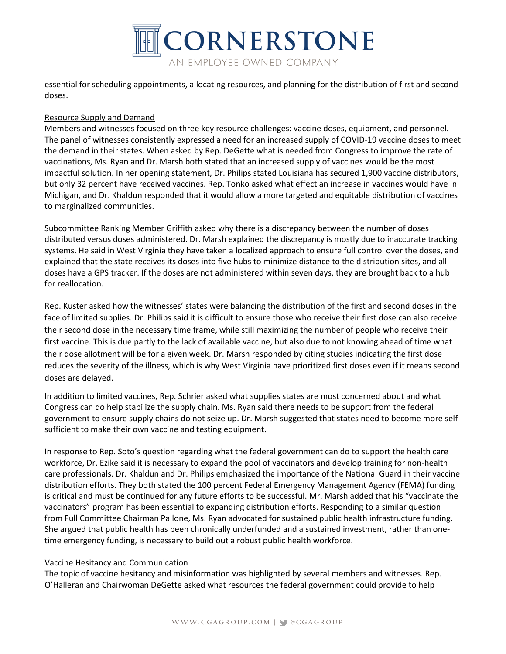

essential for scheduling appointments, allocating resources, and planning for the distribution of first and second doses.

## Resource Supply and Demand

Members and witnesses focused on three key resource challenges: vaccine doses, equipment, and personnel. The panel of witnesses consistently expressed a need for an increased supply of COVID-19 vaccine doses to meet the demand in their states. When asked by Rep. DeGette what is needed from Congress to improve the rate of vaccinations, Ms. Ryan and Dr. Marsh both stated that an increased supply of vaccines would be the most impactful solution. In her opening statement, Dr. Philips stated Louisiana has secured 1,900 vaccine distributors, but only 32 percent have received vaccines. Rep. Tonko asked what effect an increase in vaccines would have in Michigan, and Dr. Khaldun responded that it would allow a more targeted and equitable distribution of vaccines to marginalized communities.

Subcommittee Ranking Member Griffith asked why there is a discrepancy between the number of doses distributed versus doses administered. Dr. Marsh explained the discrepancy is mostly due to inaccurate tracking systems. He said in West Virginia they have taken a localized approach to ensure full control over the doses, and explained that the state receives its doses into five hubs to minimize distance to the distribution sites, and all doses have a GPS tracker. If the doses are not administered within seven days, they are brought back to a hub for reallocation.

Rep. Kuster asked how the witnesses' states were balancing the distribution of the first and second doses in the face of limited supplies. Dr. Philips said it is difficult to ensure those who receive their first dose can also receive their second dose in the necessary time frame, while still maximizing the number of people who receive their first vaccine. This is due partly to the lack of available vaccine, but also due to not knowing ahead of time what their dose allotment will be for a given week. Dr. Marsh responded by citing studies indicating the first dose reduces the severity of the illness, which is why West Virginia have prioritized first doses even if it means second doses are delayed.

In addition to limited vaccines, Rep. Schrier asked what supplies states are most concerned about and what Congress can do help stabilize the supply chain. Ms. Ryan said there needs to be support from the federal government to ensure supply chains do not seize up. Dr. Marsh suggested that states need to become more selfsufficient to make their own vaccine and testing equipment.

In response to Rep. Soto's question regarding what the federal government can do to support the health care workforce, Dr. Ezike said it is necessary to expand the pool of vaccinators and develop training for non-health care professionals. Dr. Khaldun and Dr. Philips emphasized the importance of the National Guard in their vaccine distribution efforts. They both stated the 100 percent Federal Emergency Management Agency (FEMA) funding is critical and must be continued for any future efforts to be successful. Mr. Marsh added that his "vaccinate the vaccinators" program has been essential to expanding distribution efforts. Responding to a similar question from Full Committee Chairman Pallone, Ms. Ryan advocated for sustained public health infrastructure funding. She argued that public health has been chronically underfunded and a sustained investment, rather than onetime emergency funding, is necessary to build out a robust public health workforce.

### Vaccine Hesitancy and Communication

The topic of vaccine hesitancy and misinformation was highlighted by several members and witnesses. Rep. O'Halleran and Chairwoman DeGette asked what resources the federal government could provide to help